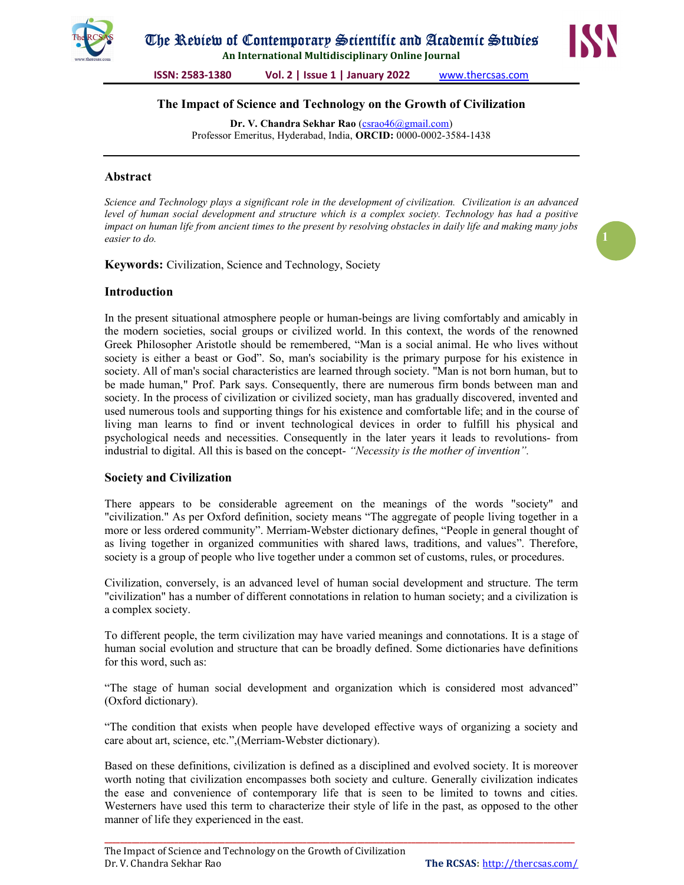

# The Impact of Science and Technology on the Growth of Civilization

Dr. V. Chandra Sekhar Rao (csrao46@gmail.com) Professor Emeritus, Hyderabad, India, ORCID: 0000-0002-3584-1438

#### Abstract

Science and Technology plays a significant role in the development of civilization. Civilization is an advanced level of human social development and structure which is a complex society. Technology has had a positive impact on human life from ancient times to the present by resolving obstacles in daily life and making many jobs easier to do.

Keywords: Civilization, Science and Technology, Society

## Introduction

In the present situational atmosphere people or human-beings are living comfortably and amicably in the modern societies, social groups or civilized world. In this context, the words of the renowned Greek Philosopher Aristotle should be remembered, "Man is a social animal. He who lives without society is either a beast or God". So, man's sociability is the primary purpose for his existence in society. All of man's social characteristics are learned through society. "Man is not born human, but to be made human," Prof. Park says. Consequently, there are numerous firm bonds between man and society. In the process of civilization or civilized society, man has gradually discovered, invented and used numerous tools and supporting things for his existence and comfortable life; and in the course of living man learns to find or invent technological devices in order to fulfill his physical and psychological needs and necessities. Consequently in the later years it leads to revolutions- from industrial to digital. All this is based on the concept- "Necessity is the mother of invention".

#### Society and Civilization

There appears to be considerable agreement on the meanings of the words "society" and "civilization." As per Oxford definition, society means "The aggregate of people living together in a more or less ordered community". Merriam-Webster dictionary defines, "People in general thought of as living together in organized communities with shared laws, traditions, and values". Therefore, society is a group of people who live together under a common set of customs, rules, or procedures.

Civilization, conversely, is an advanced level of human social development and structure. The term "civilization" has a number of different connotations in relation to human society; and a civilization is a complex society.

To different people, the term civilization may have varied meanings and connotations. It is a stage of human social evolution and structure that can be broadly defined. Some dictionaries have definitions for this word, such as:

"The stage of human social development and organization which is considered most advanced" (Oxford dictionary).

"The condition that exists when people have developed effective ways of organizing a society and care about art, science, etc.",(Merriam-Webster dictionary).

Based on these definitions, civilization is defined as a disciplined and evolved society. It is moreover worth noting that civilization encompasses both society and culture. Generally civilization indicates the ease and convenience of contemporary life that is seen to be limited to towns and cities. Westerners have used this term to characterize their style of life in the past, as opposed to the other manner of life they experienced in the east.

\_\_\_\_\_\_\_\_\_\_\_\_\_\_\_\_\_\_\_\_\_\_\_\_\_\_\_\_\_\_\_\_\_\_\_\_\_\_\_\_\_\_\_\_\_\_\_\_\_\_\_\_\_\_\_\_\_\_\_\_\_\_\_\_\_\_\_\_\_\_\_\_\_\_\_\_\_\_\_\_\_\_\_\_\_\_\_\_\_\_\_\_\_\_\_\_\_\_\_\_\_\_\_\_\_\_\_\_\_\_\_\_\_\_\_\_\_\_\_\_\_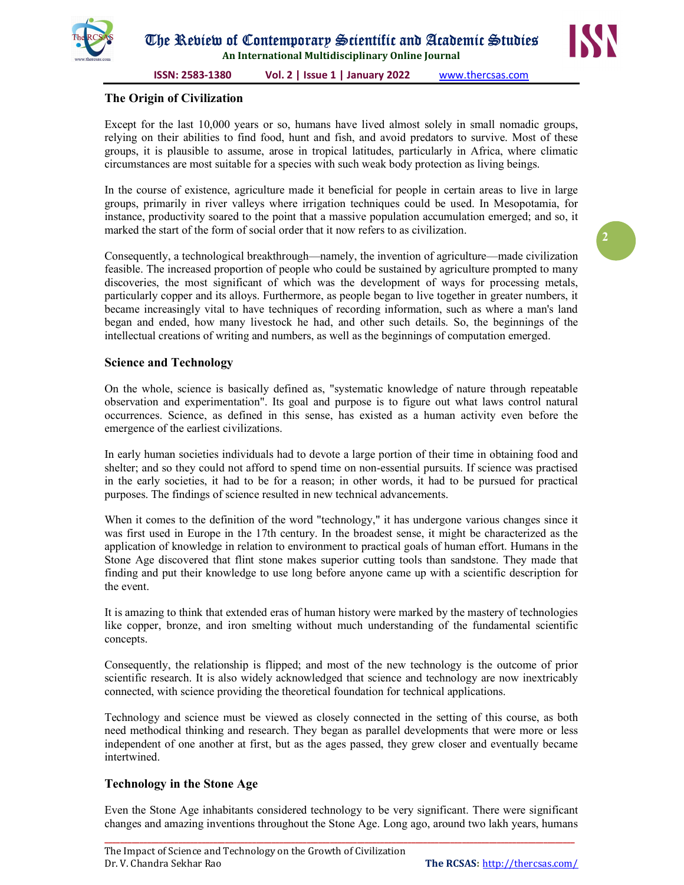



2

ISSN: 2583-1380 Vol. 2 | Issue 1 | January 2022 www.thercsas.com

## The Origin of Civilization

Except for the last 10,000 years or so, humans have lived almost solely in small nomadic groups, relying on their abilities to find food, hunt and fish, and avoid predators to survive. Most of these groups, it is plausible to assume, arose in tropical latitudes, particularly in Africa, where climatic circumstances are most suitable for a species with such weak body protection as living beings.

In the course of existence, agriculture made it beneficial for people in certain areas to live in large groups, primarily in river valleys where irrigation techniques could be used. In Mesopotamia, for instance, productivity soared to the point that a massive population accumulation emerged; and so, it marked the start of the form of social order that it now refers to as civilization.

Consequently, a technological breakthrough—namely, the invention of agriculture—made civilization feasible. The increased proportion of people who could be sustained by agriculture prompted to many discoveries, the most significant of which was the development of ways for processing metals, particularly copper and its alloys. Furthermore, as people began to live together in greater numbers, it became increasingly vital to have techniques of recording information, such as where a man's land began and ended, how many livestock he had, and other such details. So, the beginnings of the intellectual creations of writing and numbers, as well as the beginnings of computation emerged.

## Science and Technology

On the whole, science is basically defined as, "systematic knowledge of nature through repeatable observation and experimentation". Its goal and purpose is to figure out what laws control natural occurrences. Science, as defined in this sense, has existed as a human activity even before the emergence of the earliest civilizations.

In early human societies individuals had to devote a large portion of their time in obtaining food and shelter; and so they could not afford to spend time on non-essential pursuits. If science was practised in the early societies, it had to be for a reason; in other words, it had to be pursued for practical purposes. The findings of science resulted in new technical advancements.

When it comes to the definition of the word "technology," it has undergone various changes since it was first used in Europe in the 17th century. In the broadest sense, it might be characterized as the application of knowledge in relation to environment to practical goals of human effort. Humans in the Stone Age discovered that flint stone makes superior cutting tools than sandstone. They made that finding and put their knowledge to use long before anyone came up with a scientific description for the event.

It is amazing to think that extended eras of human history were marked by the mastery of technologies like copper, bronze, and iron smelting without much understanding of the fundamental scientific concepts.

Consequently, the relationship is flipped; and most of the new technology is the outcome of prior scientific research. It is also widely acknowledged that science and technology are now inextricably connected, with science providing the theoretical foundation for technical applications.

Technology and science must be viewed as closely connected in the setting of this course, as both need methodical thinking and research. They began as parallel developments that were more or less independent of one another at first, but as the ages passed, they grew closer and eventually became intertwined.

## Technology in the Stone Age

Even the Stone Age inhabitants considered technology to be very significant. There were significant changes and amazing inventions throughout the Stone Age. Long ago, around two lakh years, humans

\_\_\_\_\_\_\_\_\_\_\_\_\_\_\_\_\_\_\_\_\_\_\_\_\_\_\_\_\_\_\_\_\_\_\_\_\_\_\_\_\_\_\_\_\_\_\_\_\_\_\_\_\_\_\_\_\_\_\_\_\_\_\_\_\_\_\_\_\_\_\_\_\_\_\_\_\_\_\_\_\_\_\_\_\_\_\_\_\_\_\_\_\_\_\_\_\_\_\_\_\_\_\_\_\_\_\_\_\_\_\_\_\_\_\_\_\_\_\_\_\_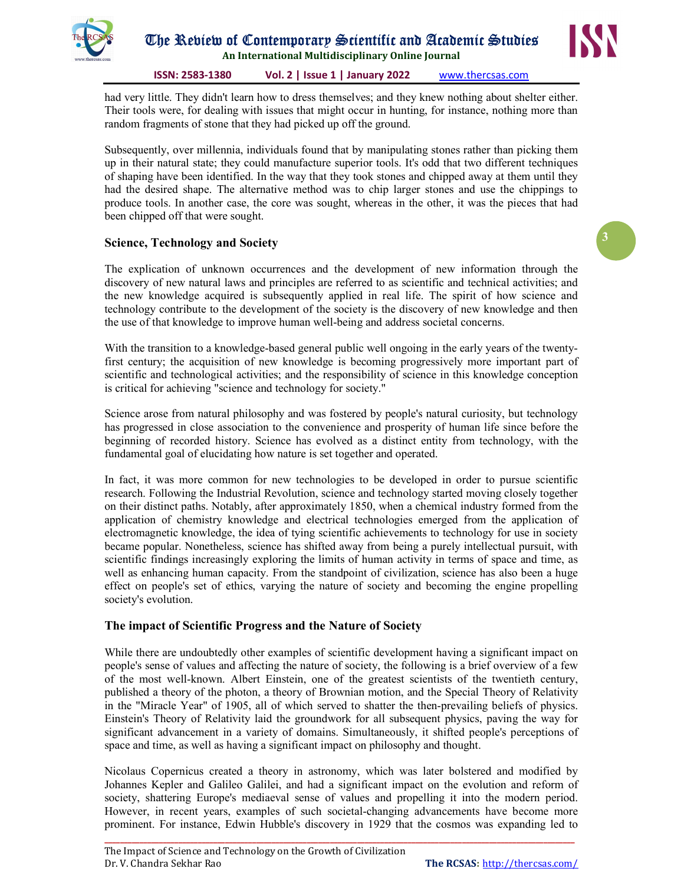



3

ISSN: 2583-1380 Vol. 2 | Issue 1 | January 2022 www.thercsas.com

had very little. They didn't learn how to dress themselves; and they knew nothing about shelter either. Their tools were, for dealing with issues that might occur in hunting, for instance, nothing more than random fragments of stone that they had picked up off the ground.

Subsequently, over millennia, individuals found that by manipulating stones rather than picking them up in their natural state; they could manufacture superior tools. It's odd that two different techniques of shaping have been identified. In the way that they took stones and chipped away at them until they had the desired shape. The alternative method was to chip larger stones and use the chippings to produce tools. In another case, the core was sought, whereas in the other, it was the pieces that had been chipped off that were sought.

## Science, Technology and Society

The explication of unknown occurrences and the development of new information through the discovery of new natural laws and principles are referred to as scientific and technical activities; and the new knowledge acquired is subsequently applied in real life. The spirit of how science and technology contribute to the development of the society is the discovery of new knowledge and then the use of that knowledge to improve human well-being and address societal concerns.

With the transition to a knowledge-based general public well ongoing in the early years of the twentyfirst century; the acquisition of new knowledge is becoming progressively more important part of scientific and technological activities; and the responsibility of science in this knowledge conception is critical for achieving "science and technology for society."

Science arose from natural philosophy and was fostered by people's natural curiosity, but technology has progressed in close association to the convenience and prosperity of human life since before the beginning of recorded history. Science has evolved as a distinct entity from technology, with the fundamental goal of elucidating how nature is set together and operated.

In fact, it was more common for new technologies to be developed in order to pursue scientific research. Following the Industrial Revolution, science and technology started moving closely together on their distinct paths. Notably, after approximately 1850, when a chemical industry formed from the application of chemistry knowledge and electrical technologies emerged from the application of electromagnetic knowledge, the idea of tying scientific achievements to technology for use in society became popular. Nonetheless, science has shifted away from being a purely intellectual pursuit, with scientific findings increasingly exploring the limits of human activity in terms of space and time, as well as enhancing human capacity. From the standpoint of civilization, science has also been a huge effect on people's set of ethics, varying the nature of society and becoming the engine propelling society's evolution.

## The impact of Scientific Progress and the Nature of Society

While there are undoubtedly other examples of scientific development having a significant impact on people's sense of values and affecting the nature of society, the following is a brief overview of a few of the most well-known. Albert Einstein, one of the greatest scientists of the twentieth century, published a theory of the photon, a theory of Brownian motion, and the Special Theory of Relativity in the "Miracle Year" of 1905, all of which served to shatter the then-prevailing beliefs of physics. Einstein's Theory of Relativity laid the groundwork for all subsequent physics, paving the way for significant advancement in a variety of domains. Simultaneously, it shifted people's perceptions of space and time, as well as having a significant impact on philosophy and thought.

Nicolaus Copernicus created a theory in astronomy, which was later bolstered and modified by Johannes Kepler and Galileo Galilei, and had a significant impact on the evolution and reform of society, shattering Europe's mediaeval sense of values and propelling it into the modern period. However, in recent years, examples of such societal-changing advancements have become more prominent. For instance, Edwin Hubble's discovery in 1929 that the cosmos was expanding led to

\_\_\_\_\_\_\_\_\_\_\_\_\_\_\_\_\_\_\_\_\_\_\_\_\_\_\_\_\_\_\_\_\_\_\_\_\_\_\_\_\_\_\_\_\_\_\_\_\_\_\_\_\_\_\_\_\_\_\_\_\_\_\_\_\_\_\_\_\_\_\_\_\_\_\_\_\_\_\_\_\_\_\_\_\_\_\_\_\_\_\_\_\_\_\_\_\_\_\_\_\_\_\_\_\_\_\_\_\_\_\_\_\_\_\_\_\_\_\_\_\_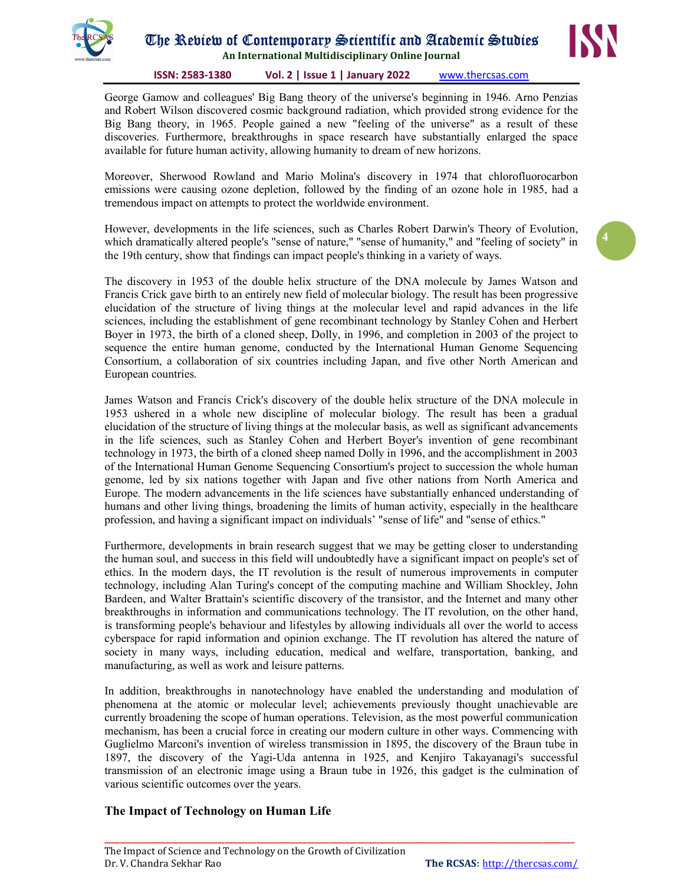

# The Review of Contemporary Scientific and Academic Studies

An International Multidisciplinary Online Journal

#### ISSN: 2583-1380 Vol. 2 | Issue 1 | January 2022 www.thercsas.com

George Gamow and colleagues' Big Bang theory of the universe's beginning in 1946. Arno Penzias and Robert Wilson discovered cosmic background radiation, which provided strong evidence for the Big Bang theory, in 1965. People gained a new "feeling of the universe" as a result of these discoveries. Furthermore, breakthroughs in space research have substantially enlarged the space available for future human activity, allowing humanity to dream of new horizons.

Moreover, Sherwood Rowland and Mario Molina's discovery in 1974 that chlorofluorocarbon emissions were causing ozone depletion, followed by the finding of an ozone hole in 1985, had a tremendous impact on attempts to protect the worldwide environment.

However, developments in the life sciences, such as Charles Robert Darwin's Theory of Evolution, which dramatically altered people's "sense of nature," "sense of humanity," and "feeling of society" in the 19th century, show that findings can impact people's thinking in a variety of ways.

The discovery in 1953 of the double helix structure of the DNA molecule by James Watson and Francis Crick gave birth to an entirely new field of molecular biology. The result has been progressive elucidation of the structure of living things at the molecular level and rapid advances in the life sciences, including the establishment of gene recombinant technology by Stanley Cohen and Herbert Boyer in 1973, the birth of a cloned sheep, Dolly, in 1996, and completion in 2003 of the project to sequence the entire human genome, conducted by the International Human Genome Sequencing Consortium, a collaboration of six countries including Japan, and five other North American and European countries.

James Watson and Francis Crick's discovery of the double helix structure of the DNA molecule in 1953 ushered in a whole new discipline of molecular biology. The result has been a gradual elucidation of the structure of living things at the molecular basis, as well as significant advancements in the life sciences, such as Stanley Cohen and Herbert Boyer's invention of gene recombinant technology in 1973, the birth of a cloned sheep named Dolly in 1996, and the accomplishment in 2003 of the International Human Genome Sequencing Consortium's project to succession the whole human genome, led by six nations together with Japan and five other nations from North America and Europe. The modern advancements in the life sciences have substantially enhanced understanding of humans and other living things, broadening the limits of human activity, especially in the healthcare profession, and having a significant impact on individuals' "sense of life" and "sense of ethics."

Furthermore, developments in brain research suggest that we may be getting closer to understanding the human soul, and success in this field will undoubtedly have a significant impact on people's set of ethics. In the modern days, the IT revolution is the result of numerous improvements in computer technology, including Alan Turing's concept of the computing machine and William Shockley, John Bardeen, and Walter Brattain's scientific discovery of the transistor, and the Internet and many other breakthroughs in information and communications technology. The IT revolution, on the other hand, is transforming people's behaviour and lifestyles by allowing individuals all over the world to access cyberspace for rapid information and opinion exchange. The IT revolution has altered the nature of society in many ways, including education, medical and welfare, transportation, banking, and manufacturing, as well as work and leisure patterns.

In addition, breakthroughs in nanotechnology have enabled the understanding and modulation of phenomena at the atomic or molecular level; achievements previously thought unachievable are currently broadening the scope of human operations. Television, as the most powerful communication mechanism, has been a crucial force in creating our modern culture in other ways. Commencing with Guglielmo Marconi's invention of wireless transmission in 1895, the discovery of the Braun tube in 1897, the discovery of the Yagi-Uda antenna in 1925, and Kenjiro Takayanagi's successful transmission of an electronic image using a Braun tube in 1926, this gadget is the culmination of various scientific outcomes over the years.

\_\_\_\_\_\_\_\_\_\_\_\_\_\_\_\_\_\_\_\_\_\_\_\_\_\_\_\_\_\_\_\_\_\_\_\_\_\_\_\_\_\_\_\_\_\_\_\_\_\_\_\_\_\_\_\_\_\_\_\_\_\_\_\_\_\_\_\_\_\_\_\_\_\_\_\_\_\_\_\_\_\_\_\_\_\_\_\_\_\_\_\_\_\_\_\_\_\_\_\_\_\_\_\_\_\_\_\_\_\_\_\_\_\_\_\_\_\_\_\_\_

## The Impact of Technology on Human Life



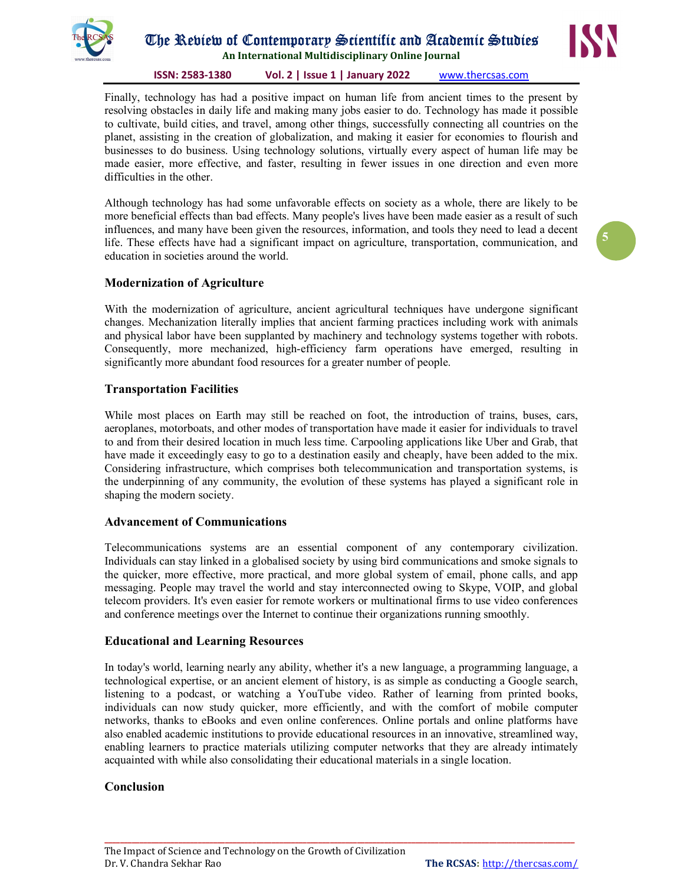

## The Review of Contemporary Scientific and Academic Studies

An International Multidisciplinary Online Journal

ISSN: 2583-1380 Vol. 2 | Issue 1 | January 2022 www.thercsas.com

Finally, technology has had a positive impact on human life from ancient times to the present by resolving obstacles in daily life and making many jobs easier to do. Technology has made it possible to cultivate, build cities, and travel, among other things, successfully connecting all countries on the planet, assisting in the creation of globalization, and making it easier for economies to flourish and businesses to do business. Using technology solutions, virtually every aspect of human life may be made easier, more effective, and faster, resulting in fewer issues in one direction and even more difficulties in the other.

Although technology has had some unfavorable effects on society as a whole, there are likely to be more beneficial effects than bad effects. Many people's lives have been made easier as a result of such influences, and many have been given the resources, information, and tools they need to lead a decent life. These effects have had a significant impact on agriculture, transportation, communication, and education in societies around the world.

## Modernization of Agriculture

With the modernization of agriculture, ancient agricultural techniques have undergone significant changes. Mechanization literally implies that ancient farming practices including work with animals and physical labor have been supplanted by machinery and technology systems together with robots. Consequently, more mechanized, high-efficiency farm operations have emerged, resulting in significantly more abundant food resources for a greater number of people.

## Transportation Facilities

While most places on Earth may still be reached on foot, the introduction of trains, buses, cars, aeroplanes, motorboats, and other modes of transportation have made it easier for individuals to travel to and from their desired location in much less time. Carpooling applications like Uber and Grab, that have made it exceedingly easy to go to a destination easily and cheaply, have been added to the mix. Considering infrastructure, which comprises both telecommunication and transportation systems, is the underpinning of any community, the evolution of these systems has played a significant role in shaping the modern society.

## Advancement of Communications

Telecommunications systems are an essential component of any contemporary civilization. Individuals can stay linked in a globalised society by using bird communications and smoke signals to the quicker, more effective, more practical, and more global system of email, phone calls, and app messaging. People may travel the world and stay interconnected owing to Skype, VOIP, and global telecom providers. It's even easier for remote workers or multinational firms to use video conferences and conference meetings over the Internet to continue their organizations running smoothly.

#### Educational and Learning Resources

In today's world, learning nearly any ability, whether it's a new language, a programming language, a technological expertise, or an ancient element of history, is as simple as conducting a Google search, listening to a podcast, or watching a YouTube video. Rather of learning from printed books, individuals can now study quicker, more efficiently, and with the comfort of mobile computer networks, thanks to eBooks and even online conferences. Online portals and online platforms have also enabled academic institutions to provide educational resources in an innovative, streamlined way, enabling learners to practice materials utilizing computer networks that they are already intimately acquainted with while also consolidating their educational materials in a single location.

\_\_\_\_\_\_\_\_\_\_\_\_\_\_\_\_\_\_\_\_\_\_\_\_\_\_\_\_\_\_\_\_\_\_\_\_\_\_\_\_\_\_\_\_\_\_\_\_\_\_\_\_\_\_\_\_\_\_\_\_\_\_\_\_\_\_\_\_\_\_\_\_\_\_\_\_\_\_\_\_\_\_\_\_\_\_\_\_\_\_\_\_\_\_\_\_\_\_\_\_\_\_\_\_\_\_\_\_\_\_\_\_\_\_\_\_\_\_\_\_\_

#### Conclusion

5